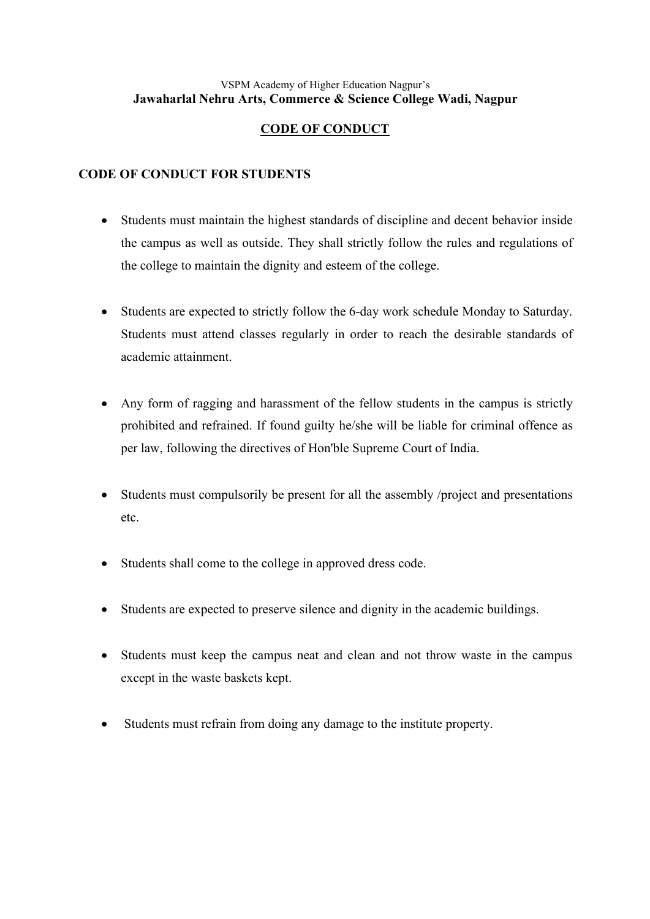## VSPM Academy of Higher Education Nagpur's **Jawaharlal Nehru Arts, Commerce & Science College Wadi, Nagpur**

## **CODE OF CONDUCT**

# **CODE OF CONDUCT FOR STUDENTS**

- Students must maintain the highest standards of discipline and decent behavior inside the campus as well as outside. They shall strictly follow the rules and regulations of the college to maintain the dignity and esteem of the college.
- Students are expected to strictly follow the 6-day work schedule Monday to Saturday. Students must attend classes regularly in order to reach the desirable standards of academic attainment.
- Any form of ragging and harassment of the fellow students in the campus is strictly prohibited and refrained. If found guilty he/she will be liable for criminal offence as per law, following the directives of Hon'ble Supreme Court of India.
- $\bullet$  Students must compulsorily be present for all the assembly /project and presentations etc.
- Students shall come to the college in approved dress code.
- Students are expected to preserve silence and dignity in the academic buildings.
- Students must keep the campus neat and clean and not throw waste in the campus except in the waste baskets kept.
- Students must refrain from doing any damage to the institute property.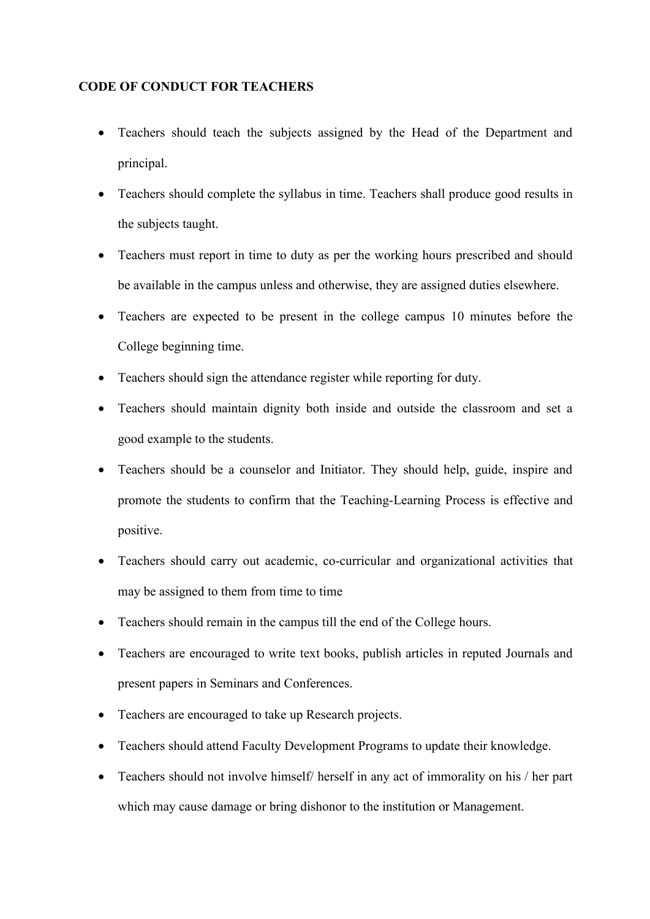## **CODE OF CONDUCT FOR TEACHERS**

- Teachers should teach the subjects assigned by the Head of the Department and principal.
- Teachers should complete the syllabus in time. Teachers shall produce good results in the subjects taught.
- Teachers must report in time to duty as per the working hours prescribed and should be available in the campus unless and otherwise, they are assigned duties elsewhere.
- Teachers are expected to be present in the college campus 10 minutes before the College beginning time.
- Teachers should sign the attendance register while reporting for duty.
- Teachers should maintain dignity both inside and outside the classroom and set a good example to the students.
- Teachers should be a counselor and Initiator. They should help, guide, inspire and promote the students to confirm that the Teaching-Learning Process is effective and positive.
- Teachers should carry out academic, co-curricular and organizational activities that may be assigned to them from time to time
- Teachers should remain in the campus till the end of the College hours.
- Teachers are encouraged to write text books, publish articles in reputed Journals and present papers in Seminars and Conferences.
- Teachers are encouraged to take up Research projects.
- Teachers should attend Faculty Development Programs to update their knowledge.
- Teachers should not involve himself/ herself in any act of immorality on his / her part which may cause damage or bring dishonor to the institution or Management.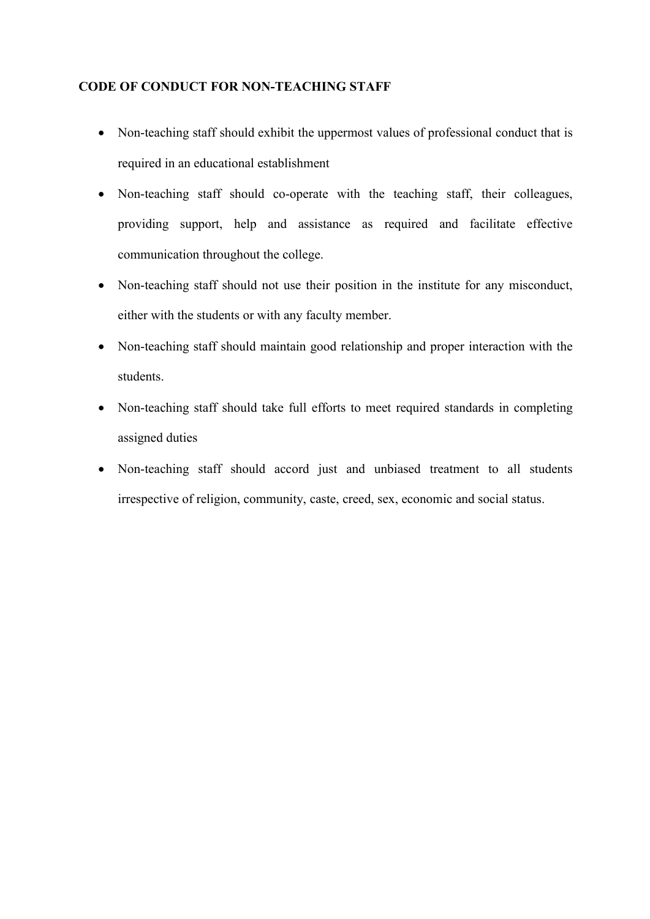## **CODE OF CONDUCT FOR NON-TEACHING STAFF**

- Non-teaching staff should exhibit the uppermost values of professional conduct that is required in an educational establishment
- Non-teaching staff should co-operate with the teaching staff, their colleagues, providing support, help and assistance as required and facilitate effective communication throughout the college.
- Non-teaching staff should not use their position in the institute for any misconduct, either with the students or with any faculty member.
- Non-teaching staff should maintain good relationship and proper interaction with the students.
- Non-teaching staff should take full efforts to meet required standards in completing assigned duties
- Non-teaching staff should accord just and unbiased treatment to all students irrespective of religion, community, caste, creed, sex, economic and social status.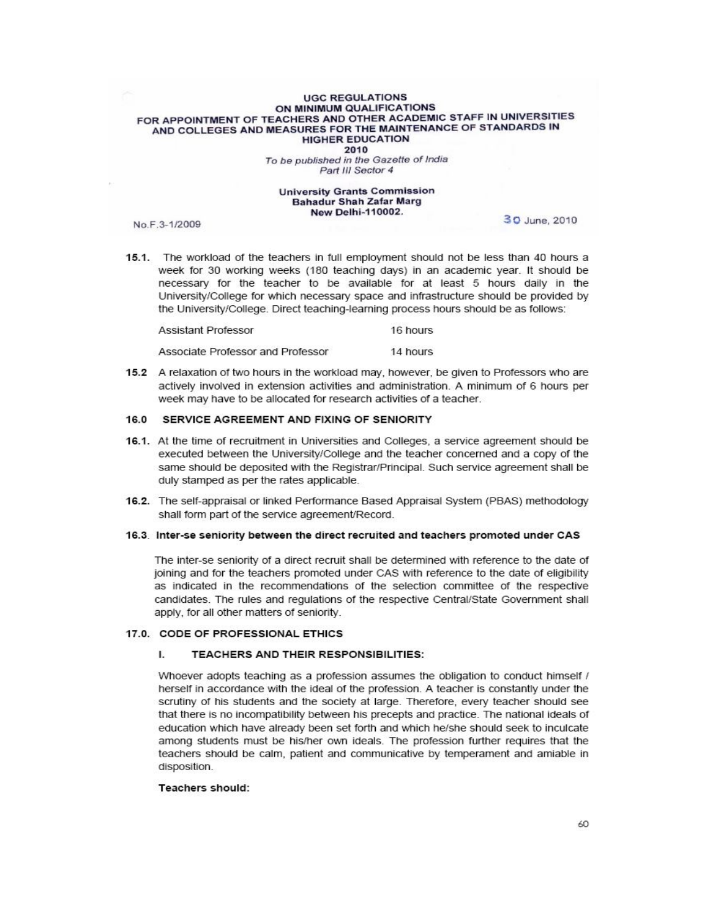### **UGC REGULATIONS** ON MINIMUM QUALIFICATIONS FOR APPOINTMENT OF TEACHERS AND OTHER ACADEMIC STAFF IN UNIVERSITIES AND COLLEGES AND MEASURES FOR THE MAINTENANCE OF STANDARDS IN **HIGHER EDUCATION** 2010

To be published in the Gazette of India Part III Sector 4

### **University Grants Commission Bahadur Shah Zafar Marg New Delhi-110002.**

No.F.3-1/2009

30 June, 2010

15.1. The workload of the teachers in full employment should not be less than 40 hours a week for 30 working weeks (180 teaching days) in an academic year. It should be necessary for the teacher to be available for at least 5 hours daily in the University/College for which necessary space and infrastructure should be provided by the University/College. Direct teaching-learning process hours should be as follows:

| Assistant Professor               | 16 hours |
|-----------------------------------|----------|
| Associate Professor and Professor | 14 hours |

15.2 A relaxation of two hours in the workload may, however, be given to Professors who are actively involved in extension activities and administration. A minimum of 6 hours per week may have to be allocated for research activities of a teacher.

### 16.0 SERVICE AGREEMENT AND FIXING OF SENIORITY

- 16.1. At the time of recruitment in Universities and Colleges, a service agreement should be executed between the University/College and the teacher concerned and a copy of the same should be deposited with the Registrar/Principal. Such service agreement shall be duly stamped as per the rates applicable.
- 16.2. The self-appraisal or linked Performance Based Appraisal System (PBAS) methodology shall form part of the service agreement/Record.

### 16.3. Inter-se seniority between the direct recruited and teachers promoted under CAS

The inter-se seniority of a direct recruit shall be determined with reference to the date of joining and for the teachers promoted under CAS with reference to the date of eligibility as indicated in the recommendations of the selection committee of the respective candidates. The rules and regulations of the respective Central/State Government shall apply, for all other matters of seniority.

### 17.0. CODE OF PROFESSIONAL ETHICS

#### TEACHERS AND THEIR RESPONSIBILITIES: L.

Whoever adopts teaching as a profession assumes the obligation to conduct himself / herself in accordance with the ideal of the profession. A teacher is constantly under the scrutiny of his students and the society at large. Therefore, every teacher should see that there is no incompatibility between his precepts and practice. The national ideals of education which have already been set forth and which he/she should seek to inculcate among students must be his/her own ideals. The profession further requires that the teachers should be calm, patient and communicative by temperament and amiable in disposition.

### Teachers should: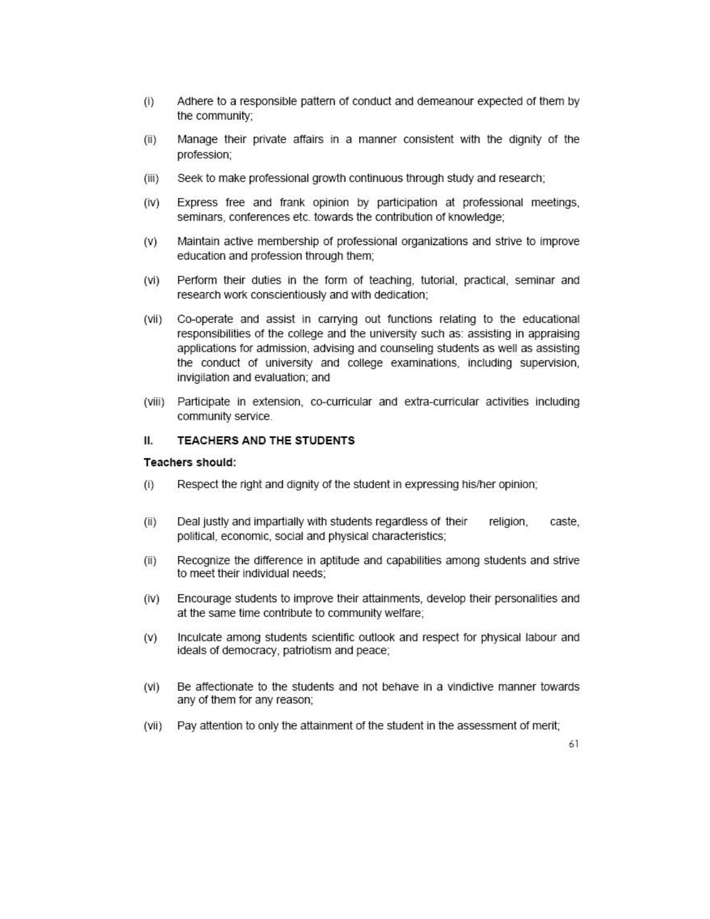- $(i)$ Adhere to a responsible pattern of conduct and demeanour expected of them by the community;
- $(ii)$ Manage their private affairs in a manner consistent with the dignity of the profession:
- $(iii)$ Seek to make professional growth continuous through study and research;
- $(iv)$ Express free and frank opinion by participation at professional meetings, seminars, conferences etc. towards the contribution of knowledge;
- Maintain active membership of professional organizations and strive to improve  $(V)$ education and profession through them;
- Perform their duties in the form of teaching, tutorial, practical, seminar and  $(Vi)$ research work conscientiously and with dedication;
- $(Vii)$ Co-operate and assist in carrying out functions relating to the educational responsibilities of the college and the university such as: assisting in appraising applications for admission, advising and counseling students as well as assisting the conduct of university and college examinations, including supervision, invigilation and evaluation; and
- (viii) Participate in extension, co-curricular and extra-curricular activities including community service.

#### П. TEACHERS AND THE STUDENTS

### Teachers should:

- Respect the right and dignity of the student in expressing his/her opinion;  $(i)$
- $(ii)$ Deal justly and impartially with students regardless of their religion, caste, political, economic, social and physical characteristics;
- $(ii)$ Recognize the difference in aptitude and capabilities among students and strive to meet their individual needs;
- Encourage students to improve their attainments, develop their personalities and  $(iv)$ at the same time contribute to community welfare;
- Inculcate among students scientific outlook and respect for physical labour and  $(V)$ ideals of democracy, patriotism and peace;
- $(VI)$ Be affectionate to the students and not behave in a vindictive manner towards any of them for any reason;
- $(Vii)$ Pay attention to only the attainment of the student in the assessment of merit;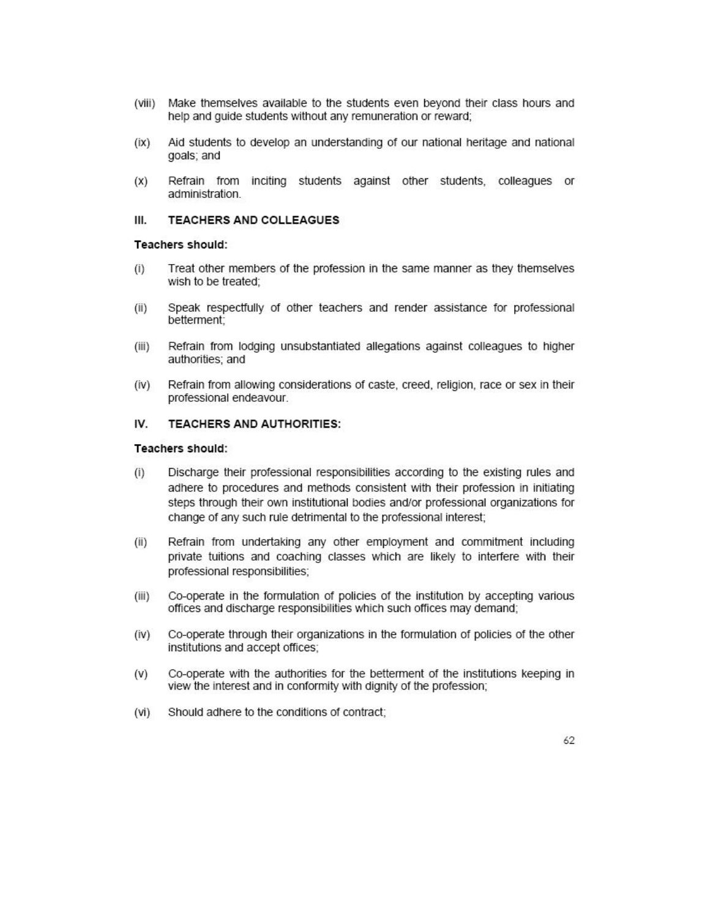- Make themselves available to the students even beyond their class hours and (Viii) help and guide students without any remuneration or reward;
- $(ix)$ Aid students to develop an understanding of our national heritage and national goals; and
- Refrain from inciting students against other students, colleagues or  $(x)$ administration.

#### **TEACHERS AND COLLEAGUES** III.

### Teachers should:

- Treat other members of the profession in the same manner as they themselves  $(i)$ wish to be treated;
- Speak respectfully of other teachers and render assistance for professional  $(ii)$ betterment;
- $(iii)$ Refrain from lodging unsubstantiated allegations against colleagues to higher authorities; and
- $(iv)$ Refrain from allowing considerations of caste, creed, religion, race or sex in their professional endeavour.

#### IV. **TEACHERS AND AUTHORITIES:**

## Teachers should:

- Discharge their professional responsibilities according to the existing rules and  $(i)$ adhere to procedures and methods consistent with their profession in initiating steps through their own institutional bodies and/or professional organizations for change of any such rule detrimental to the professional interest;
- Refrain from undertaking any other employment and commitment including  $(ii)$ private tuitions and coaching classes which are likely to interfere with their professional responsibilities:
- $(iii)$ Co-operate in the formulation of policies of the institution by accepting various offices and discharge responsibilities which such offices may demand;
- Co-operate through their organizations in the formulation of policies of the other  $(iv)$ institutions and accept offices;
- Co-operate with the authorities for the betterment of the institutions keeping in  $(V)$ view the interest and in conformity with dignity of the profession;
- Should adhere to the conditions of contract;  $(vi)$

62